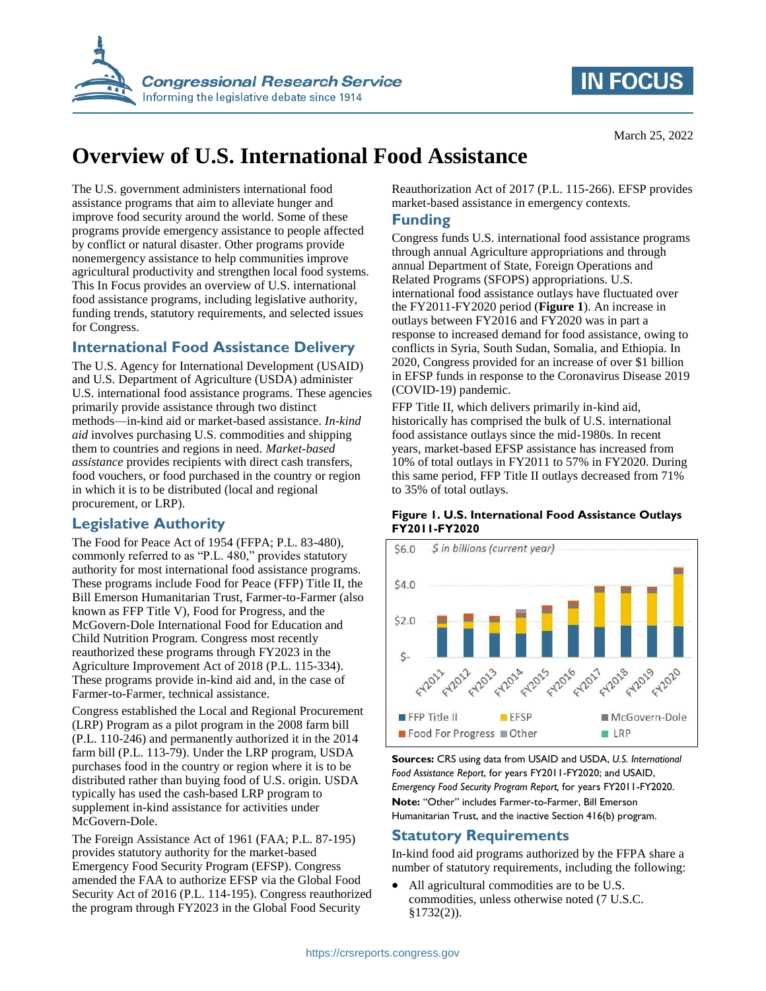

# **IN FOCUS**

# **Overview of U.S. International Food Assistance**

The U.S. government administers international food assistance programs that aim to alleviate hunger and improve food security around the world. Some of these programs provide emergency assistance to people affected by conflict or natural disaster. Other programs provide nonemergency assistance to help communities improve agricultural productivity and strengthen local food systems. This In Focus provides an overview of U.S. international food assistance programs, including legislative authority, funding trends, statutory requirements, and selected issues for Congress.

### **International Food Assistance Delivery**

The U.S. Agency for International Development (USAID) and U.S. Department of Agriculture (USDA) administer U.S. international food assistance programs. These agencies primarily provide assistance through two distinct methods—in-kind aid or market-based assistance. *In-kind aid* involves purchasing U.S. commodities and shipping them to countries and regions in need. *Market-based assistance* provides recipients with direct cash transfers, food vouchers, or food purchased in the country or region in which it is to be distributed (local and regional procurement, or LRP).

# **Legislative Authority**

The Food for Peace Act of 1954 (FFPA; P.L. 83-480), commonly referred to as "P.L. 480," provides statutory authority for most international food assistance programs. These programs include Food for Peace (FFP) Title II, the Bill Emerson Humanitarian Trust, Farmer-to-Farmer (also known as FFP Title V), Food for Progress, and the McGovern-Dole International Food for Education and Child Nutrition Program. Congress most recently reauthorized these programs through FY2023 in the Agriculture Improvement Act of 2018 (P.L. 115-334). These programs provide in-kind aid and, in the case of Farmer-to-Farmer, technical assistance.

Congress established the Local and Regional Procurement (LRP) Program as a pilot program in the 2008 farm bill (P.L. 110-246) and permanently authorized it in the 2014 farm bill (P.L. 113-79). Under the LRP program, USDA purchases food in the country or region where it is to be distributed rather than buying food of U.S. origin. USDA typically has used the cash-based LRP program to supplement in-kind assistance for activities under McGovern-Dole.

The Foreign Assistance Act of 1961 (FAA; P.L. 87-195) provides statutory authority for the market-based Emergency Food Security Program (EFSP). Congress amended the FAA to authorize EFSP via the Global Food Security Act of 2016 (P.L. 114-195). Congress reauthorized the program through FY2023 in the Global Food Security

Reauthorization Act of 2017 (P.L. 115-266). EFSP provides market-based assistance in emergency contexts.

## **Funding**

Congress funds U.S. international food assistance programs through annual Agriculture appropriations and through annual Department of State, Foreign Operations and Related Programs (SFOPS) appropriations. U.S. international food assistance outlays have fluctuated over the FY2011-FY2020 period (**[Figure 1](#page-0-0)**). An increase in outlays between FY2016 and FY2020 was in part a response to increased demand for food assistance, owing to conflicts in Syria, South Sudan, Somalia, and Ethiopia. In 2020, Congress provided for an increase of over \$1 billion in EFSP funds in response to the Coronavirus Disease 2019 (COVID-19) pandemic.

FFP Title II, which delivers primarily in-kind aid, historically has comprised the bulk of U.S. international food assistance outlays since the mid-1980s. In recent years, market-based EFSP assistance has increased from 10% of total outlays in FY2011 to 57% in FY2020. During this same period, FFP Title II outlays decreased from 71% to 35% of total outlays.

#### <span id="page-0-0"></span>**Figure 1. U.S. International Food Assistance Outlays FY2011-FY2020**



**Sources:** CRS using data from USAID and USDA, *U.S. International Food Assistance Report*, for years FY2011-FY2020; and USAID, *Emergency Food Security Program Report,* for years FY2011-FY2020. **Note:** "Other" includes Farmer-to-Farmer, Bill Emerson Humanitarian Trust, and the inactive Section 416(b) program.

# **Statutory Requirements**

In-kind food aid programs authorized by the FFPA share a number of statutory requirements, including the following:

• All agricultural commodities are to be U.S. commodities, unless otherwise noted (7 U.S.C. §1732(2)).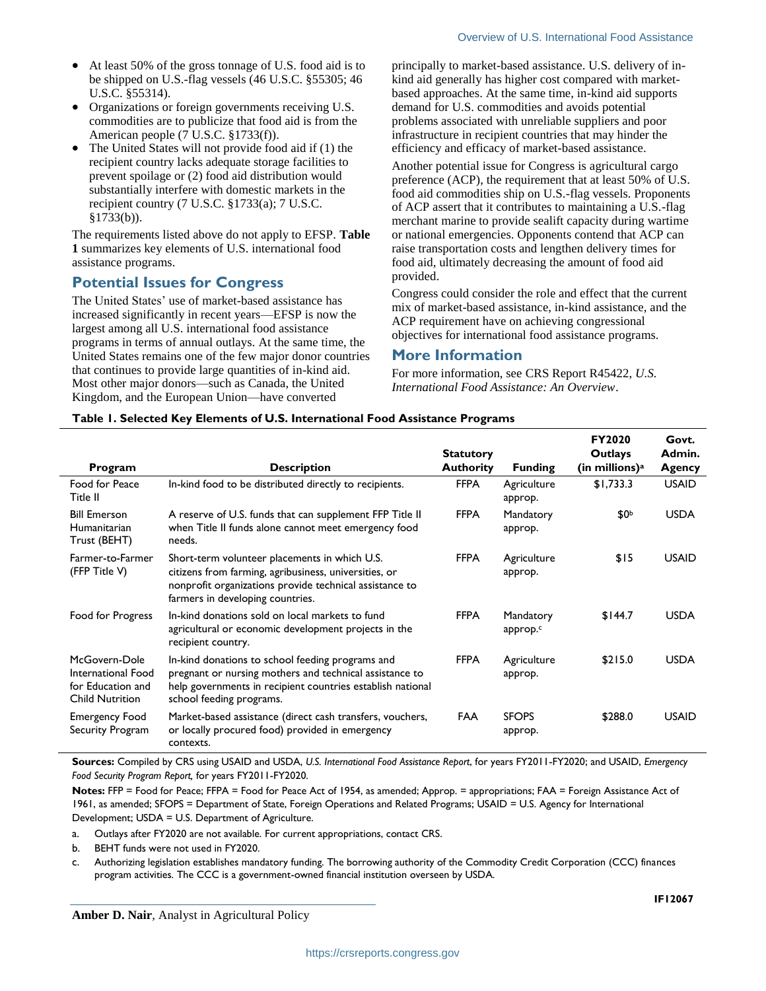- At least 50% of the gross tonnage of U.S. food aid is to be shipped on U.S.-flag vessels (46 U.S.C. §55305; 46 U.S.C. §55314).
- Organizations or foreign governments receiving U.S. commodities are to publicize that food aid is from the American people (7 U.S.C. §1733(f)).
- The United States will not provide food aid if (1) the recipient country lacks adequate storage facilities to prevent spoilage or (2) food aid distribution would substantially interfere with domestic markets in the recipient country (7 U.S.C. §1733(a); 7 U.S.C. §1733(b)).

The requirements listed above do not apply to EFSP. **[Table](#page-1-0)  [1](#page-1-0)** summarizes key elements of U.S. international food assistance programs.

### **Potential Issues for Congress**

The United States' use of market-based assistance has increased significantly in recent years—EFSP is now the largest among all U.S. international food assistance programs in terms of annual outlays. At the same time, the United States remains one of the few major donor countries that continues to provide large quantities of in-kind aid. Most other major donors—such as Canada, the United Kingdom, and the European Union—have converted

principally to market-based assistance. U.S. delivery of inkind aid generally has higher cost compared with marketbased approaches. At the same time, in-kind aid supports demand for U.S. commodities and avoids potential problems associated with unreliable suppliers and poor infrastructure in recipient countries that may hinder the efficiency and efficacy of market-based assistance.

Another potential issue for Congress is agricultural cargo preference (ACP), the requirement that at least 50% of U.S. food aid commodities ship on U.S.-flag vessels. Proponents of ACP assert that it contributes to maintaining a U.S.-flag merchant marine to provide sealift capacity during wartime or national emergencies. Opponents contend that ACP can raise transportation costs and lengthen delivery times for food aid, ultimately decreasing the amount of food aid provided.

Congress could consider the role and effect that the current mix of market-based assistance, in-kind assistance, and the ACP requirement have on achieving congressional objectives for international food assistance programs.

### **More Information**

For more information, see CRS Report R45422, *U.S. International Food Assistance: An Overview*.

#### <span id="page-1-0"></span>**Table 1. Selected Key Elements of U.S. International Food Assistance Programs**

|                                                                                    |                                                                                                                                                                                                       | <b>Statutory</b> |                         | FY2020<br><b>Outlays</b>     | Govt.<br>Admin. |
|------------------------------------------------------------------------------------|-------------------------------------------------------------------------------------------------------------------------------------------------------------------------------------------------------|------------------|-------------------------|------------------------------|-----------------|
| Program                                                                            | <b>Description</b>                                                                                                                                                                                    | <b>Authority</b> | <b>Funding</b>          | $(in$ millions) <sup>a</sup> | Agency          |
| Food for Peace<br>Title II                                                         | In-kind food to be distributed directly to recipients.                                                                                                                                                | <b>FFPA</b>      | Agriculture<br>approp.  | \$1,733.3                    | <b>USAID</b>    |
| <b>Bill Emerson</b><br>Humanitarian<br>Trust (BEHT)                                | A reserve of U.S. funds that can supplement FFP Title II<br>when Title II funds alone cannot meet emergency food<br>needs.                                                                            | <b>FFPA</b>      | Mandatory<br>approp.    | \$0 <sup>b</sup>             | <b>USDA</b>     |
| Farmer-to-Farmer<br>(FFP Title V)                                                  | Short-term volunteer placements in which U.S.<br>citizens from farming, agribusiness, universities, or<br>nonprofit organizations provide technical assistance to<br>farmers in developing countries. | <b>FFPA</b>      | Agriculture<br>approp.  | \$15                         | <b>USAID</b>    |
| Food for Progress                                                                  | In-kind donations sold on local markets to fund<br>agricultural or economic development projects in the<br>recipient country.                                                                         | <b>FFPA</b>      | Mandatory<br>approp.c   | \$144.7                      | <b>USDA</b>     |
| McGovern-Dole<br>International Food<br>for Education and<br><b>Child Nutrition</b> | In-kind donations to school feeding programs and<br>pregnant or nursing mothers and technical assistance to<br>help governments in recipient countries establish national<br>school feeding programs. | <b>FFPA</b>      | Agriculture<br>approp.  | \$215.0                      | <b>USDA</b>     |
| <b>Emergency Food</b><br>Security Program                                          | Market-based assistance (direct cash transfers, vouchers,<br>or locally procured food) provided in emergency<br>contexts.                                                                             | <b>FAA</b>       | <b>SFOPS</b><br>approp. | \$288.0                      | <b>USAID</b>    |

**Sources:** Compiled by CRS using USAID and USDA, *U.S. International Food Assistance Report*, for years FY2011-FY2020; and USAID, *Emergency Food Security Program Report,* for years FY2011-FY2020.

**Notes:** FFP = Food for Peace; FFPA = Food for Peace Act of 1954, as amended; Approp. = appropriations; FAA = Foreign Assistance Act of 1961, as amended; SFOPS = Department of State, Foreign Operations and Related Programs; USAID = U.S. Agency for International Development; USDA = U.S. Department of Agriculture.

a. Outlays after FY2020 are not available. For current appropriations, contact CRS.

<span id="page-1-1"></span>b. BEHT funds were not used in FY2020.

<span id="page-1-2"></span>c. Authorizing legislation establishes mandatory funding. The borrowing authority of the Commodity Credit Corporation (CCC) finances program activities. The CCC is a government-owned financial institution overseen by USDA.

**Amber D. Nair**, Analyst in Agricultural Policy

**IF12067**